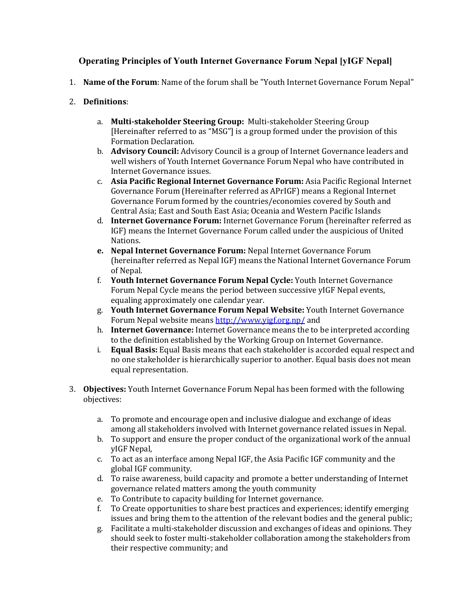# **Operating Principles of Youth Internet Governance Forum Nepal [yIGF Nepal]**

- 1. **Name of the Forum**: Name of the forum shall be "Youth Internet Governance Forum Nepal"
- 2. **Definitions**:
	- a. **Multi-stakeholder Steering Group:** Multi-stakeholder Steering Group [Hereinafter referred to as "MSG"] is a group formed under the provision of this Formation Declaration.
	- b. **Advisory Council:** Advisory Council is a group of Internet Governance leaders and well wishers of Youth Internet Governance Forum Nepal who have contributed in Internet Governance issues.
	- c. Asia Pacific Regional Internet Governance Forum: Asia Pacific Regional Internet Governance Forum (Hereinafter referred as APrIGF) means a Regional Internet Governance Forum formed by the countries/economies covered by South and Central Asia; East and South East Asia; Oceania and Western Pacific Islands
	- d. **Internet Governance Forum:** Internet Governance Forum (hereinafter referred as IGF) means the Internet Governance Forum called under the auspicious of United Nations.
	- **e.** Nepal Internet Governance Forum: Nepal Internet Governance Forum (hereinafter referred as Nepal IGF) means the National Internet Governance Forum of Nepal.
	- f. Youth Internet Governance Forum Nepal Cycle: Youth Internet Governance Forum Nepal Cycle means the period between successive yIGF Nepal events, equaling approximately one calendar year.
	- g. **Youth Internet Governance Forum Nepal Website:** Youth Internet Governance Forum Nepal website means http://www.yigf.org.np/ and
	- h. **Internet Governance:** Internet Governance means the to be interpreted according to the definition established by the Working Group on Internet Governance.
	- i. **Equal Basis:** Equal Basis means that each stakeholder is accorded equal respect and no one stakeholder is hierarchically superior to another. Equal basis does not mean equal representation.
- 3. **Objectives:** Youth Internet Governance Forum Nepal has been formed with the following objectives:
	- a. To promote and encourage open and inclusive dialogue and exchange of ideas among all stakeholders involved with Internet governance related issues in Nepal.
	- b. To support and ensure the proper conduct of the organizational work of the annual yIGF Nepal,
	- c. To act as an interface among Nepal IGF, the Asia Pacific IGF community and the global IGF community.
	- d. To raise awareness, build capacity and promote a better understanding of Internet governance related matters among the youth community
	- e. To Contribute to capacity building for Internet governance.
	- f. To Create opportunities to share best practices and experiences; identify emerging issues and bring them to the attention of the relevant bodies and the general public;
	- g. Facilitate a multi-stakeholder discussion and exchanges of ideas and opinions. They should seek to foster multi-stakeholder collaboration among the stakeholders from their respective community; and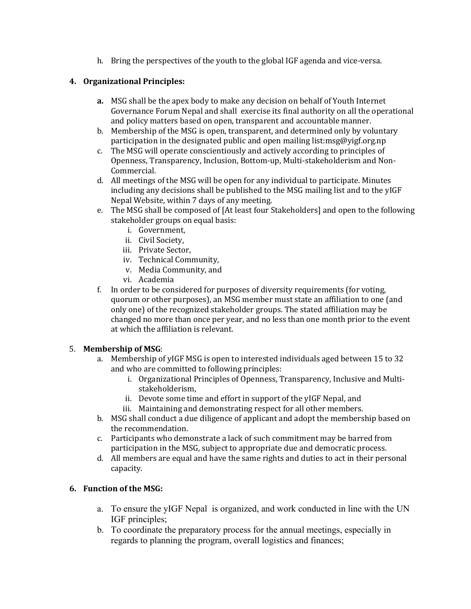h. Bring the perspectives of the youth to the global IGF agenda and vice-versa.

## **4. Organizational Principles:**

- **a.** MSG shall be the apex body to make any decision on behalf of Youth Internet Governance Forum Nepal and shall exercise its final authority on all the operational and policy matters based on open, transparent and accountable manner.
- b. Membership of the MSG is open, transparent, and determined only by voluntary participation in the designated public and open mailing list:msg@yigf.org.np
- c. The MSG will operate conscientiously and actively according to principles of Openness, Transparency, Inclusion, Bottom-up, Multi-stakeholderism and Non-Commercial.
- d. All meetings of the MSG will be open for any individual to participate. Minutes including any decisions shall be published to the MSG mailing list and to the yIGF Nepal Website, within 7 days of any meeting.
- e. The MSG shall be composed of [At least four Stakeholders] and open to the following stakeholder groups on equal basis:
	- i. Government,
	- ii. Civil Society.
	- iii. Private Sector,
	- iv. Technical Community,
	- v. Media Community, and
	- vi. Academia
- f. In order to be considered for purposes of diversity requirements (for voting, quorum or other purposes), an MSG member must state an affiliation to one (and only one) of the recognized stakeholder groups. The stated affiliation may be changed no more than once per year, and no less than one month prior to the event at which the affiliation is relevant.

## 5. **Membership of MSG**:

- a. Membership of yIGF MSG is open to interested individuals aged between 15 to 32 and who are committed to following principles:
	- i. Organizational Principles of Openness, Transparency, Inclusive and Multistakeholderism,
	- ii. Devote some time and effort in support of the yIGF Nepal, and
	- iii. Maintaining and demonstrating respect for all other members.
- b. MSG shall conduct a due diligence of applicant and adopt the membership based on the recommendation.
- c. Participants who demonstrate a lack of such commitment may be barred from participation in the MSG, subject to appropriate due and democratic process.
- d. All members are equal and have the same rights and duties to act in their personal capacity.

## **6.** Function of the MSG:

- a. To ensure the yIGF Nepal is organized, and work conducted in line with the UN IGF principles;
- b. To coordinate the preparatory process for the annual meetings, especially in regards to planning the program, overall logistics and finances;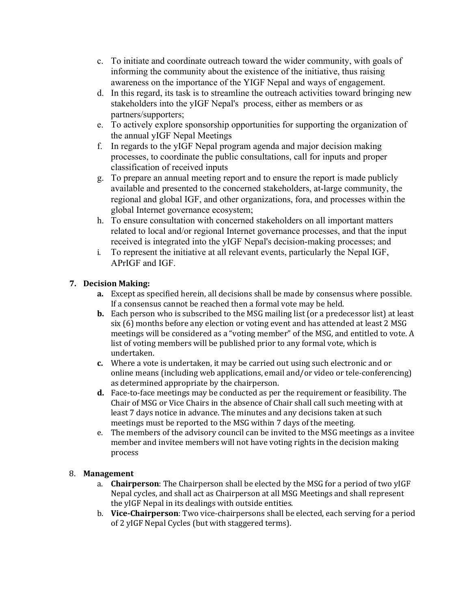- c. To initiate and coordinate outreach toward the wider community, with goals of informing the community about the existence of the initiative, thus raising awareness on the importance of the YIGF Nepal and ways of engagement.
- d. In this regard, its task is to streamline the outreach activities toward bringing new stakeholders into the yIGF Nepal's process, either as members or as partners/supporters;
- e. To actively explore sponsorship opportunities for supporting the organization of the annual yIGF Nepal Meetings
- f. In regards to the yIGF Nepal program agenda and major decision making processes, to coordinate the public consultations, call for inputs and proper classification of received inputs
- g. To prepare an annual meeting report and to ensure the report is made publicly available and presented to the concerned stakeholders, at-large community, the regional and global IGF, and other organizations, fora, and processes within the global Internet governance ecosystem;
- h. To ensure consultation with concerned stakeholders on all important matters related to local and/or regional Internet governance processes, and that the input received is integrated into the yIGF Nepal's decision-making processes; and
- i. To represent the initiative at all relevant events, particularly the Nepal IGF, APrIGF and IGF.

# **7. Decision Making:**

- **a.** Except as specified herein, all decisions shall be made by consensus where possible. If a consensus cannot be reached then a formal vote may be held.
- **b.** Each person who is subscribed to the MSG mailing list (or a predecessor list) at least six  $(6)$  months before any election or voting event and has attended at least 2 MSG meetings will be considered as a "voting member" of the MSG, and entitled to vote. A list of voting members will be published prior to any formal vote, which is undertaken.
- **c.** Where a vote is undertaken, it may be carried out using such electronic and or online means (including web applications, email and/or video or tele-conferencing) as determined appropriate by the chairperson.
- **d.** Face-to-face meetings may be conducted as per the requirement or feasibility. The Chair of MSG or Vice Chairs in the absence of Chair shall call such meeting with at least 7 days notice in advance. The minutes and any decisions taken at such meetings must be reported to the MSG within 7 days of the meeting.
- e. The members of the advisory council can be invited to the MSG meetings as a invitee member and invitee members will not have voting rights in the decision making process

## 8. **Management**

- a. **Chairperson**: The Chairperson shall be elected by the MSG for a period of two yIGF Nepal cycles, and shall act as Chairperson at all MSG Meetings and shall represent the yIGF Nepal in its dealings with outside entities.
- b. **Vice-Chairperson**: Two vice-chairpersons shall be elected, each serving for a period of 2 yIGF Nepal Cycles (but with staggered terms).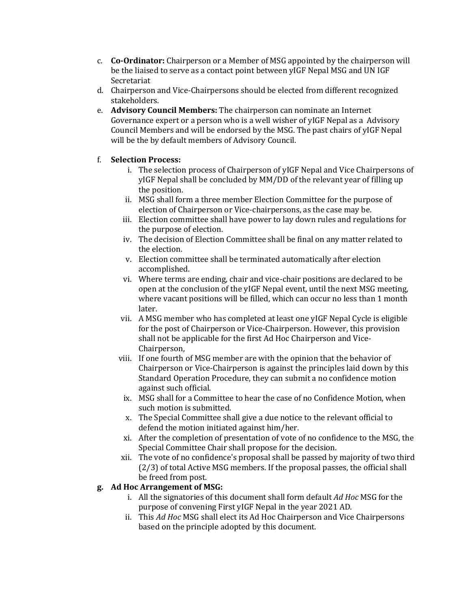- c. **Co-Ordinator:** Chairperson or a Member of MSG appointed by the chairperson will be the liaised to serve as a contact point between yIGF Nepal MSG and UN IGF Secretariat
- d. Chairperson and Vice-Chairpersons should be elected from different recognized stakeholders.
- e. **Advisory Council Members:** The chairperson can nominate an Internet Governance expert or a person who is a well wisher of yIGF Nepal as a Advisory Council Members and will be endorsed by the MSG. The past chairs of yIGF Nepal will be the by default members of Advisory Council.

## f. **Selection Process:**

- i. The selection process of Chairperson of yIGF Nepal and Vice Chairpersons of yIGF Nepal shall be concluded by MM/DD of the relevant year of filling up the position.
- ii. MSG shall form a three member Election Committee for the purpose of election of Chairperson or Vice-chairpersons, as the case may be.
- iii. Election committee shall have power to lay down rules and regulations for the purpose of election.
- iv. The decision of Election Committee shall be final on any matter related to the election.
- v. Election committee shall be terminated automatically after election accomplished.
- vi. Where terms are ending, chair and vice-chair positions are declared to be open at the conclusion of the yIGF Nepal event, until the next MSG meeting, where vacant positions will be filled, which can occur no less than 1 month later.
- vii. A MSG member who has completed at least one yIGF Nepal Cycle is eligible for the post of Chairperson or Vice-Chairperson. However, this provision shall not be applicable for the first Ad Hoc Chairperson and Vice-Chairperson,
- viii. If one fourth of MSG member are with the opinion that the behavior of Chairperson or Vice-Chairperson is against the principles laid down by this Standard Operation Procedure, they can submit a no confidence motion against such official.
- ix. MSG shall for a Committee to hear the case of no Confidence Motion, when such motion is submitted.
- x. The Special Committee shall give a due notice to the relevant official to defend the motion initiated against him/her.
- xi. After the completion of presentation of vote of no confidence to the MSG, the Special Committee Chair shall propose for the decision.
- xii. The vote of no confidence's proposal shall be passed by majority of two third  $(2/3)$  of total Active MSG members. If the proposal passes, the official shall be freed from post.

## g. Ad Hoc Arrangement of MSG:

- i. All the signatories of this document shall form default *Ad Hoc* MSG for the purpose of convening First yIGF Nepal in the year 2021 AD.
- ii. This *Ad Hoc* MSG shall elect its Ad Hoc Chairperson and Vice Chairpersons based on the principle adopted by this document.